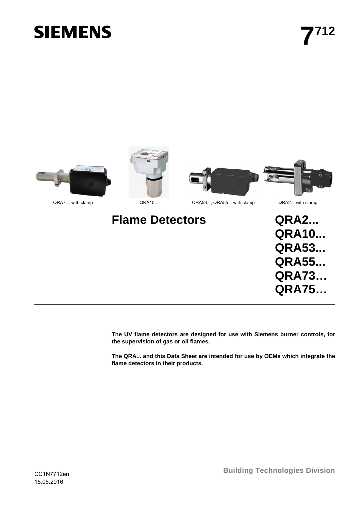# **SIEMENS**



**The UV flame detectors are designed for use with Siemens burner controls, for the supervision of gas or oil flames.** 

**The QRA... and this Data Sheet are intended for use by OEMs which integrate the flame detectors in their products.**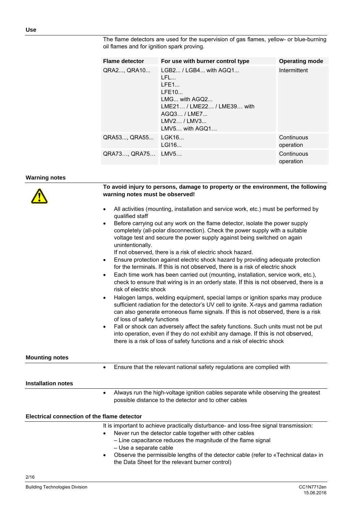| <b>Flame detector</b> | For use with burner control type                                                                                                                  | <b>Operating mode</b>   |
|-----------------------|---------------------------------------------------------------------------------------------------------------------------------------------------|-------------------------|
| QRA2, QRA10           | $LGB2 / LGB4$ with $AGQ1$<br>1 FL<br>LFE1<br>LFE10<br>LMG with AGQ2<br>LMF21/LMF22/LMF39 with<br>AGQ3 / LME7<br>LMV2 / LMV3<br>$LMV5$ with $AGQ1$ | Intermittent            |
| QRA53 QRA55           | IGK16<br>LGI16                                                                                                                                    | Continuous<br>operation |
| QRA73 QRA75           | LMV5                                                                                                                                              | Continuous<br>operation |

The flame detectors are used for the supervision of gas flames, yellow- or blue-burning oil flames and for ignition spark proving.

#### **Warning notes**

|                                             | To avoid injury to persons, damage to property or the environment, the following<br>warning notes must be observed!                                                                                                                                                                           |
|---------------------------------------------|-----------------------------------------------------------------------------------------------------------------------------------------------------------------------------------------------------------------------------------------------------------------------------------------------|
| $\bullet$                                   | All activities (mounting, installation and service work, etc.) must be performed by<br>qualified staff                                                                                                                                                                                        |
| $\bullet$                                   | Before carrying out any work on the flame detector, isolate the power supply<br>completely (all-polar disconnection). Check the power supply with a suitable<br>voltage test and secure the power supply against being switched on again<br>unintentionally.                                  |
| $\bullet$                                   | If not observed, there is a risk of electric shock hazard.<br>Ensure protection against electric shock hazard by providing adequate protection                                                                                                                                                |
|                                             | for the terminals. If this is not observed, there is a risk of electric shock                                                                                                                                                                                                                 |
| $\bullet$                                   | Each time work has been carried out (mounting, installation, service work, etc.),<br>check to ensure that wiring is in an orderly state. If this is not observed, there is a<br>risk of electric shock                                                                                        |
| $\bullet$                                   | Halogen lamps, welding equipment, special lamps or ignition sparks may produce<br>sufficient radiation for the detector's UV cell to ignite. X-rays and gamma radiation<br>can also generate erroneous flame signals. If this is not observed, there is a risk<br>of loss of safety functions |
| $\bullet$                                   | Fall or shock can adversely affect the safety functions. Such units must not be put<br>into operation, even if they do not exhibit any damage. If this is not observed,<br>there is a risk of loss of safety functions and a risk of electric shock                                           |
| <b>Mounting notes</b>                       |                                                                                                                                                                                                                                                                                               |
| $\bullet$                                   | Ensure that the relevant national safety regulations are complied with                                                                                                                                                                                                                        |
| <b>Installation notes</b>                   |                                                                                                                                                                                                                                                                                               |
| $\bullet$                                   | Always run the high-voltage ignition cables separate while observing the greatest<br>possible distance to the detector and to other cables                                                                                                                                                    |
| Electrical connection of the flame detector |                                                                                                                                                                                                                                                                                               |
| $\bullet$                                   | It is important to achieve practically disturbance- and loss-free signal transmission:<br>Never run the detector cable together with other cables<br>- Line capacitance reduces the magnitude of the flame signal<br>- Use a separate cable                                                   |
| $\bullet$                                   | Observe the permissible lengths of the detector cable (refer to «Technical data» in<br>the Data Sheet for the relevant burner control)                                                                                                                                                        |
| 2/16                                        |                                                                                                                                                                                                                                                                                               |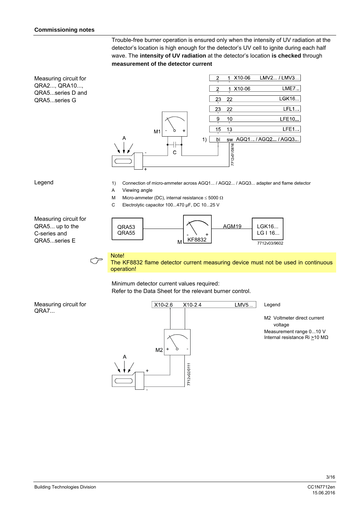Trouble-free burner operation is ensured only when the intensity of UV radiation at the detector's location is high enough for the detector's UV cell to ignite during each half wave. The **intensity of UV radiation** at the detector's location **is checked** through **measurement of the detector current**

Measuring circuit for QRA2..., QRA10..., QRA5...series D and QRA5...series G



#### Legend

- 1) Connection of micro-ammeter across AGQ1... / AGQ2... / AGQ3... adapter and flame detector
- A Viewing angle
- M Micro-ammeter (DC), internal resistance  $\leq 5000 \Omega$
- C Electrolytic capacitor 100...470 µF, DC 10...25 V

Measuring circuit for QRA5... up to the C-series and QRA5...series E



 $\begin{array}{cc}\n\bigcirc\n\end{array}$  Note!<br>The K The KF8832 flame detector current measuring device must not be used in continuous operation!

Minimum detector current values required: Refer to the Data Sheet for the relevant burner control.

#### Measuring circuit for QRA7...



Legend

LMV5...

M2 Voltmeter direct current voltage Measurement range 0...10 V Internal resistance Ri >10 MΩ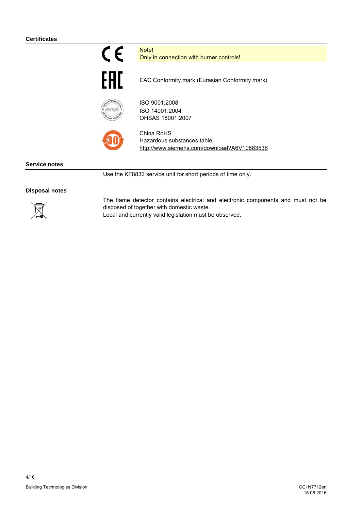

Note! Only in connection with burner controls!



EAC Conformity mark (Eurasian Conformity mark)



ISO 9001:2008 ISO 14001:2004 OHSAS 18001:2007



China RoHS Hazardous substances table: http://www.siemens.com/download?A6V10883536

**Service notes** 

Use the KF8832 service unit for short periods of time only.

#### **Disposal notes**



The flame detector contains electrical and electronic components and must not be disposed of together with domestic waste. Local and currently valid legislation must be observed.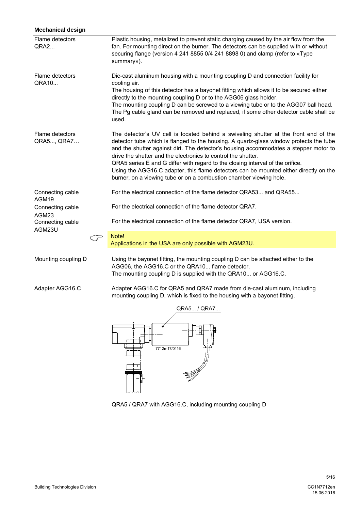| <b>Mechanical design</b>       |                                                                                                                                                                                                                                                                                                                                                                                                                                                                                                                                                                                          |  |  |
|--------------------------------|------------------------------------------------------------------------------------------------------------------------------------------------------------------------------------------------------------------------------------------------------------------------------------------------------------------------------------------------------------------------------------------------------------------------------------------------------------------------------------------------------------------------------------------------------------------------------------------|--|--|
| Flame detectors<br><b>QRA2</b> | Plastic housing, metalized to prevent static charging caused by the air flow from the<br>fan. For mounting direct on the burner. The detectors can be supplied with or without<br>securing flange (version 4 241 8855 0/4 241 8898 0) and clamp (refer to «Type<br>summary»).                                                                                                                                                                                                                                                                                                            |  |  |
| Flame detectors<br>QRA10       | Die-cast aluminum housing with a mounting coupling D and connection facility for<br>cooling air.<br>The housing of this detector has a bayonet fitting which allows it to be secured either<br>directly to the mounting coupling D or to the AGG06 glass holder.<br>The mounting coupling D can be screwed to a viewing tube or to the AGG07 ball head.<br>The Pg cable gland can be removed and replaced, if some other detector cable shall be<br>used.                                                                                                                                |  |  |
| Flame detectors<br>QRA5, QRA7  | The detector's UV cell is located behind a swiveling shutter at the front end of the<br>detector tube which is flanged to the housing. A quartz-glass window protects the tube<br>and the shutter against dirt. The detector's housing accommodates a stepper motor to<br>drive the shutter and the electronics to control the shutter.<br>QRA5 series E and G differ with regard to the closing interval of the orifice.<br>Using the AGG16.C adapter, this flame detectors can be mounted either directly on the<br>burner, on a viewing tube or on a combustion chamber viewing hole. |  |  |
| Connecting cable<br>AGM19      | For the electrical connection of the flame detector QRA53 and QRA55                                                                                                                                                                                                                                                                                                                                                                                                                                                                                                                      |  |  |
| Connecting cable               | For the electrical connection of the flame detector QRA7.                                                                                                                                                                                                                                                                                                                                                                                                                                                                                                                                |  |  |
| AGM23<br>Connecting cable      | For the electrical connection of the flame detector QRA7, USA version.                                                                                                                                                                                                                                                                                                                                                                                                                                                                                                                   |  |  |
| AGM23U                         | Note!<br>Applications in the USA are only possible with AGM23U.                                                                                                                                                                                                                                                                                                                                                                                                                                                                                                                          |  |  |
| Mounting coupling D            | Using the bayonet fitting, the mounting coupling D can be attached either to the<br>AGG06, the AGG16.C or the QRA10 flame detector.<br>The mounting coupling D is supplied with the QRA10 or AGG16.C.                                                                                                                                                                                                                                                                                                                                                                                    |  |  |
| Adapter AGG16.C                | Adapter AGG16.C for QRA5 and QRA7 made from die-cast aluminum, including<br>mounting coupling D, which is fixed to the housing with a bayonet fitting.                                                                                                                                                                                                                                                                                                                                                                                                                                   |  |  |
|                                | QRA5 / QRA7                                                                                                                                                                                                                                                                                                                                                                                                                                                                                                                                                                              |  |  |
|                                | 7712m17/0116                                                                                                                                                                                                                                                                                                                                                                                                                                                                                                                                                                             |  |  |

QRA5 / QRA7 with AGG16.C, including mounting coupling D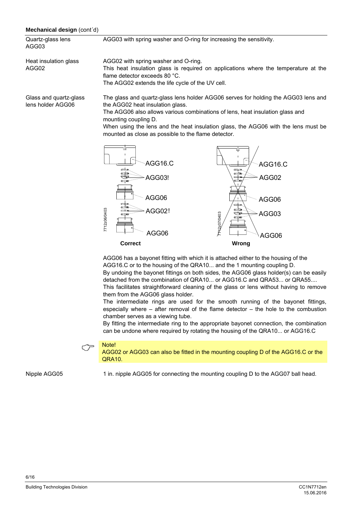#### **Mechanical design** (cont´d)

| Quartz-glass lens<br>AGG03                  | AGG03 with spring washer and O-ring for increasing the sensitivity.                                                                                                                                                                                                                                                                                                          |
|---------------------------------------------|------------------------------------------------------------------------------------------------------------------------------------------------------------------------------------------------------------------------------------------------------------------------------------------------------------------------------------------------------------------------------|
| Heat insulation glass<br>AGG02              | AGG02 with spring washer and O-ring.<br>This heat insulation glass is required on applications where the temperature at the<br>flame detector exceeds 80 °C.<br>The AGG02 extends the life cycle of the UV cell.                                                                                                                                                             |
| Glass and quartz-glass<br>lens holder AGG06 | The glass and quartz-glass lens holder AGG06 serves for holding the AGG03 lens and<br>the AGG02 heat insulation glass.<br>The AGG06 also allows various combinations of lens, heat insulation glass and<br>mounting coupling D.<br>When using the lens and the heat insulation glass, the AGG06 with the lens must be<br>mounted as close as possible to the flame detector. |



AGG06 has a bayonet fitting with which it is attached either to the housing of the AGG16.C or to the housing of the QRA10... and the 1 mounting coupling D. By undoing the bayonet fittings on both sides, the AGG06 glass holder(s) can be easily detached from the combination of QRA10... or AGG16.C and QRA53... or QRA55.... This facilitates straightforward cleaning of the glass or lens without having to remove them from the AGG06 glass holder.

The intermediate rings are used for the smooth running of the bayonet fittings, especially where – after removal of the flame detector – the hole to the combustion chamber serves as a viewing tube.

By fitting the intermediate ring to the appropriate bayonet connection, the combination can be undone where required by rotating the housing of the QRA10... or AGG16.C

 Note! AGG02 or AGG03 can also be fitted in the mounting coupling D of the AGG16.C or the QRA10.

Nipple AGG05

1 in. nipple AGG05 for connecting the mounting coupling D to the AGG07 ball head.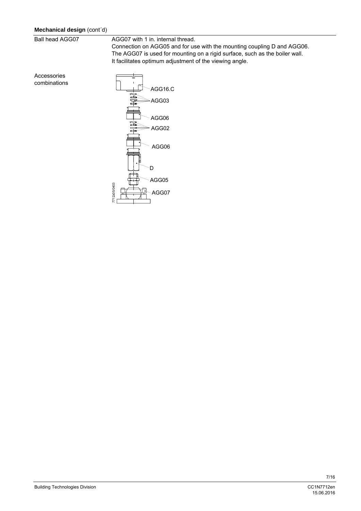# **Mechanical design** (cont´d)

Ball head AGG07

Accessories combinations AGG07 with 1 in. internal thread.

Connection on AGG05 and for use with the mounting coupling D and AGG06. The AGG07 is used for mounting on a rigid surface, such as the boiler wall. It facilitates optimum adjustment of the viewing angle.

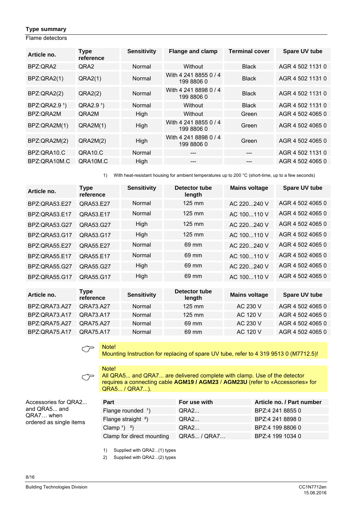# **Type summary**

Flame detectors

| Article no.               | <b>Type</b><br>reference | <b>Sensitivity</b> | <b>Flange and clamp</b>             | <b>Terminal cover</b> | <b>Spare UV tube</b> |
|---------------------------|--------------------------|--------------------|-------------------------------------|-----------------------|----------------------|
| BPZ:ORA2                  | QRA <sub>2</sub>         | Normal             | Without                             | <b>Black</b>          | AGR 4 502 1131 0     |
| BPZ:QRA2(1)               | QRA2(1)                  | Normal             | With 4 241 8855 0 / 4<br>199 8806 0 | <b>Black</b>          | AGR 4 502 1131 0     |
| BPZ:QRA2(2)               | QRA2(2)                  | Normal             | With 4 241 8898 0 / 4<br>199 8806 0 | <b>Black</b>          | AGR 4 502 1131 0     |
| BPZ:QRA2.9 <sup>1</sup> ) | QRA2.9 <sup>1</sup> )    | Normal             | Without                             | <b>Black</b>          | AGR 4 502 1131 0     |
| BPZ:ORA2M                 | QRA2M                    | High               | Without                             | Green                 | AGR 4 502 4065 0     |
| BPZ:QRA2M(1)              | QRA2M(1)                 | High               | With 4 241 8855 0 / 4<br>199 8806 0 | Green                 | AGR 4 502 4065 0     |
| BPZ:QRA2M(2)              | QRA2M(2)                 | High               | With 4 241 8898 0 / 4<br>199 8806 0 | Green                 | AGR 4 502 4065 0     |
| BPZ:ORA10.C               | QRA10.C                  | Normal             | ---                                 | $---$                 | AGR 4 502 1131 0     |
| BPZ:QRA10M.C              | QRA10M.C                 | High               | ---                                 | ---                   | AGR 4 502 4065 0     |

1) With heat-resistant housing for ambient temperatures up to 200 °C (short-time, up to a few seconds)

| Article no.          | <b>Type</b><br>reference | <b>Sensitivity</b> | Detector tube<br>length | <b>Mains voltage</b> | Spare UV tube    |
|----------------------|--------------------------|--------------------|-------------------------|----------------------|------------------|
| BPZ: QRA53.E27       | QRA53.E27                | Normal             | 125 mm                  | AC 220240 V          | AGR 4 502 4065 0 |
| BPZ:QRA53.E17        | QRA53.E17                | Normal             | 125 mm                  | AC 100110 V          | AGR 4 502 4065 0 |
| BPZ:QRA53.G27        | QRA53.G27                | High               | 125 mm                  | AC 220240 V          | AGR 4 502 4065 0 |
| BPZ:QRA53.G17        | QRA53.G17                | High               | $125 \text{ mm}$        | AC 100110 V          | AGR 4 502 4065 0 |
| BPZ: QRA55.E27       | QRA55.E27                | Normal             | 69 mm                   | AC 220240 V          | AGR 4 502 4065 0 |
| <b>BPZ:QRA55.E17</b> | QRA55.E17                | Normal             | 69 mm                   | AC 100110 V          | AGR 4 502 4065 0 |
| BPZ:QRA55.G27        | QRA55.G27                | High               | 69 mm                   | AC 220240 V          | AGR 4 502 4065 0 |
| <b>BPZ:QRA55.G17</b> | QRA55.G17                | High               | 69 mm                   | AC 100110 V          | AGR 4 502 4065 0 |
|                      |                          |                    |                         |                      |                  |
| Article no.          | <b>Type</b><br>reference | <b>Sensitivity</b> | Detector tube<br>length | <b>Mains voltage</b> | Spare UV tube    |
| BPZ:QRA73.A27        | QRA73.A27                | Normal             | 125 mm                  | AC 230 V             | AGR 4 502 4065 0 |
| <b>BPZ:QRA73.A17</b> | QRA73.A17                | Normal             | 125 mm                  | AC 120 V             | AGR 4 502 4065 0 |

BPZ:QRA75.A27 QRA75.A27 Normal 69 mm AC 230 V AGR 4 502 4065 0 BPZ:QRA75.A17 QRA75.A17 Normal 69 mm AC 120 V AGR 4 502 4065 0

$$
\mathbb{C}^{\mathsf{I}}
$$

Mote!<br>Mounting Instruction for replacing of spare UV tube, refer to 4 319 9513 0 (M7712.5)!

 $\subset \mathcal{F}$ Note!

All QRA5... and QRA7... are delivered complete with clamp. Use of the detector requires a connecting cable **AGM19 / AGM23** / **AGM23U** (refer to «Accessories» for QRA5... / QRA7...).

Accessories for QRA2... and QRA5... and QRA7… when ordered as single items

| <b>Part</b>                   | For use with | Article no. / Part number |
|-------------------------------|--------------|---------------------------|
| Flange rounded <sup>1</sup> ) | QRA2         | BPZ:4 241 8855 0          |
| Flange straight $2$ )         | QRA2         | BPZ:4 241 8898 0          |
| Clamp <sup>1</sup> $^2$ )     | QRA2         | BPZ:4 199 8806 0          |
| Clamp for direct mounting     | QRA5 / QRA7  | BPZ:4 199 1034 0          |

1) Supplied with QRA2...(1) types

2) Supplied with QRA2...(2) types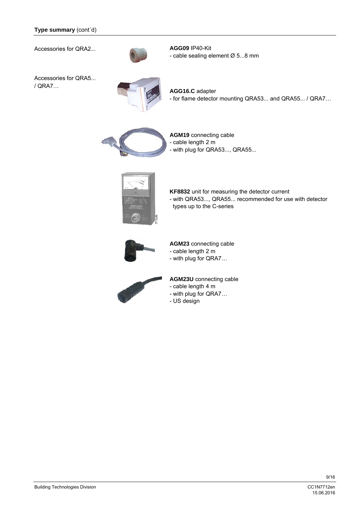Accessories for QRA2...



**AGG09** IP40-Kit - cable sealing element Ø 5...8 mm

Accessories for QRA5... / QRA7…



**AGG16.C** adapter - for flame detector mounting QRA53... and QRA55... / QRA7…



**AGM19** connecting cable - cable length 2 m - with plug for QRA53..., QRA55...



**KF8832** unit for measuring the detector current - with QRA53..., QRA55... recommended for use with detector types up to the C-series



**AGM23** connecting cable

- cable length 2 m
- with plug for QRA7…



**AGM23U** connecting cable

- cable length 4 m
- with plug for QRA7…
- US design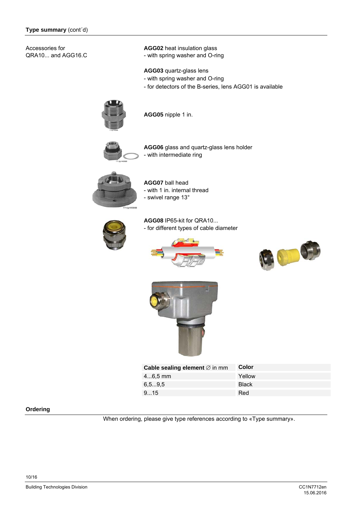Accessories for QRA10... and AGG16.C **AGG02** heat insulation glass - with spring washer and O-ring

**AGG03** quartz-glass lens

- with spring washer and O-ring
- for detectors of the B-series, lens AGG01 is available



**AGG05** nipple 1 in.



**AGG06** glass and quartz-glass lens holder - with intermediate ring



**AGG07** ball head - with 1 in. internal thread - swivel range 13°



**AGG08** IP65-kit for QRA10... - for different types of cable diameter







| Cable sealing element $\varnothing$ in mm | Color        |
|-------------------------------------------|--------------|
| $46.5$ mm                                 | Yellow       |
| 6.59.5                                    | <b>Black</b> |
| 915                                       | Red          |

#### **Ordering**

When ordering, please give type references according to «Type summary».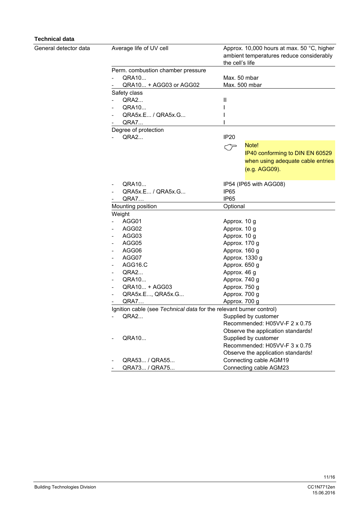# **Technical data**

General detector data

| Average life of UV cell                                             | Approx. 10,000 hours at max. 50 °C, higher<br>ambient temperatures reduce considerably<br>the cell's life |
|---------------------------------------------------------------------|-----------------------------------------------------------------------------------------------------------|
| Perm. combustion chamber pressure                                   |                                                                                                           |
| QRA10                                                               | Max. 50 mbar                                                                                              |
| QRA10 + AGG03 or AGG02                                              | Max. 500 mbar                                                                                             |
| Safety class                                                        |                                                                                                           |
| <b>QRA2</b>                                                         | Ш                                                                                                         |
| QRA10                                                               |                                                                                                           |
| QRA5x.E / QRA5x.G                                                   |                                                                                                           |
| QRA7                                                                |                                                                                                           |
| Degree of protection                                                |                                                                                                           |
| QRA2                                                                | IP <sub>20</sub>                                                                                          |
|                                                                     | Note!<br><س                                                                                               |
|                                                                     | IP40 conforming to DIN EN 60529                                                                           |
|                                                                     | when using adequate cable entries                                                                         |
|                                                                     | (e.g. AGG09).                                                                                             |
|                                                                     |                                                                                                           |
| QRA10                                                               | IP54 (IP65 with AGG08)                                                                                    |
| QRA5x.E / QRA5x.G                                                   | <b>IP65</b>                                                                                               |
| QRA7                                                                | IP65                                                                                                      |
| Mounting position                                                   | Optional                                                                                                  |
| Weight                                                              |                                                                                                           |
| AGG01                                                               | Approx. 10 g                                                                                              |
| AGG02                                                               | Approx. 10 g                                                                                              |
| AGG03                                                               | Approx. 10 g                                                                                              |
| AGG05                                                               | Approx. 170 g                                                                                             |
| AGG06                                                               | Approx. 160 g                                                                                             |
| AGG07                                                               | Approx. 1330 g                                                                                            |
| AGG16.C                                                             | Approx. 650 g                                                                                             |
| QRA2                                                                | Approx. 46 g                                                                                              |
| QRA10                                                               | Approx. 740 g                                                                                             |
| QRA10 + AGG03                                                       | Approx. 750 g                                                                                             |
| QRA5x.E, QRA5x.G                                                    | Approx. 700 g                                                                                             |
| <b>QRA7</b>                                                         | Approx. 700 g                                                                                             |
| Ignition cable (see Technical data for the relevant burner control) |                                                                                                           |
| QRA2                                                                | Supplied by customer                                                                                      |
|                                                                     | Recommended: H05VV-F 2 x 0.75                                                                             |
|                                                                     | Observe the application standards!                                                                        |
| QRA10                                                               | Supplied by customer                                                                                      |
|                                                                     | Recommended: H05VV-F 3 x 0.75                                                                             |
|                                                                     | Observe the application standards!                                                                        |
| QRA53 / QRA55                                                       | Connecting cable AGM19                                                                                    |
| QRA73 / QRA75                                                       | Connecting cable AGM23                                                                                    |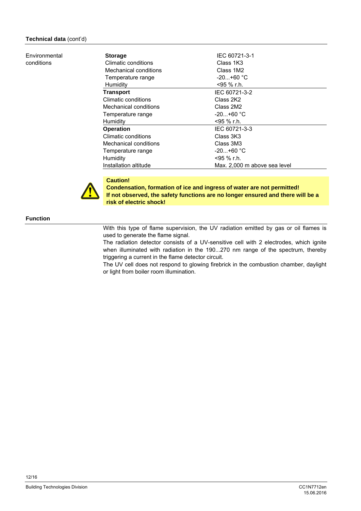#### Environmental conditions

| <b>Storage</b>        | IEC 60721-3-1                |
|-----------------------|------------------------------|
| Climatic conditions   | Class 1K3                    |
| Mechanical conditions | Class 1M2                    |
| Temperature range     | $-20+60 °C$                  |
| Humidity              | <95 % r.h.                   |
| <b>Transport</b>      | IEC 60721-3-2                |
| Climatic conditions   | Class 2K2                    |
| Mechanical conditions | Class 2M2                    |
| Temperature range     | $-20+60 °C$                  |
| Humidity              | <95 % r.h.                   |
| <b>Operation</b>      | IEC 60721-3-3                |
| Climatic conditions   | Class 3K3                    |
| Mechanical conditions | Class 3M3                    |
| Temperature range     | $-20+60$ °C                  |
| Humidity              | <95 % r.h.                   |
| Installation altitude | Max. 2,000 m above sea level |



**Caution! Condensation, formation of ice and ingress of water are not permitted! If not observed, the safety functions are no longer ensured and there will be a risk of electric shock!** 

# **Function**

With this type of flame supervision, the UV radiation emitted by gas or oil flames is used to generate the flame signal.

The radiation detector consists of a UV-sensitive cell with 2 electrodes, which ignite when illuminated with radiation in the 190...270 nm range of the spectrum, thereby triggering a current in the flame detector circuit.

The UV cell does not respond to glowing firebrick in the combustion chamber, daylight or light from boiler room illumination.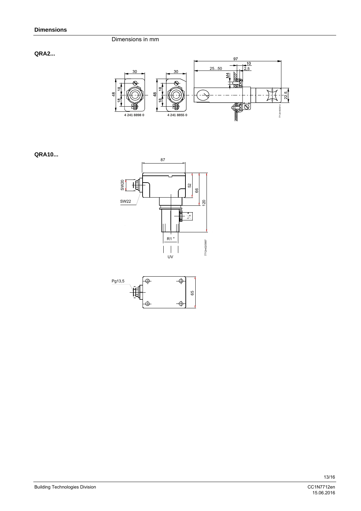#### Dimensions in mm

# **QRA2...**



# **QRA10...**





15.06.2016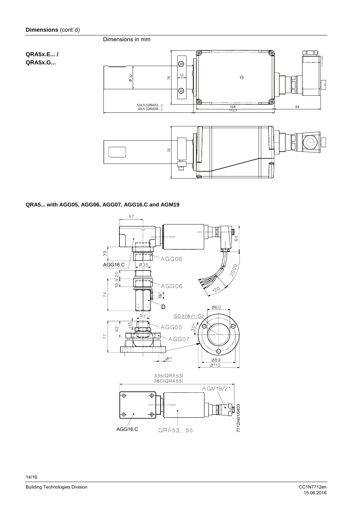# Dimensions in mm

# **QRA5x.E... / QRA5x.G...**



# **QRA5... with AGG05, AGG06, AGG07, AGG16.C and AGM19**

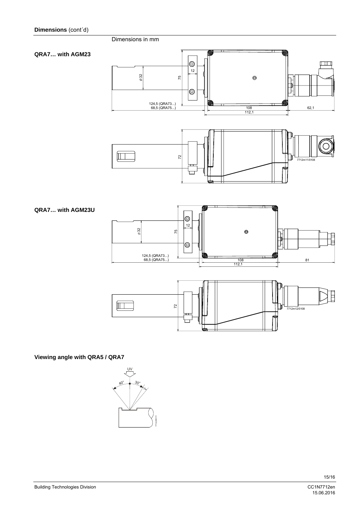**QRA7… with AGM23** 





# **Viewing angle with QRA5 / QRA7**